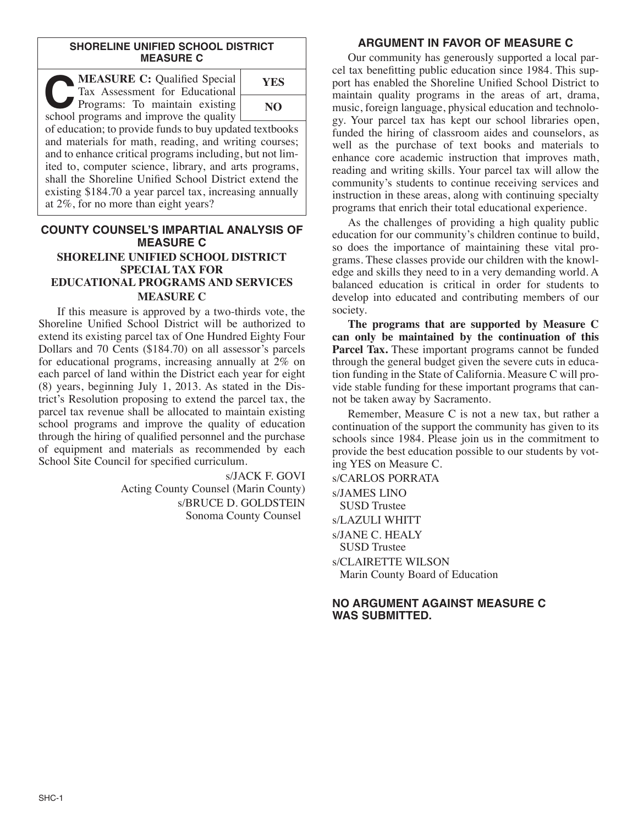#### **SHORELINE UNIFIED SCHOOL DISTRICT MEASURE C**

| <b>MEASURE C:</b> Qualified Special<br>Tax Assessment for Educational     | YES |
|---------------------------------------------------------------------------|-----|
| Programs: To maintain existing<br>school programs and improve the quality | NO  |
| of education; to provide funds to buy updated textbooks                   |     |

and materials for math, reading, and writing courses; and to enhance critical programs including, but not limited to, computer science, library, and arts programs, shall the Shoreline Unified School District extend the existing \$184.70 a year parcel tax, increasing annually at 2%, for no more than eight years?

# **COUNTY COUNSEL'S IMPARTIAL ANALYSIS OF MEASURE C SHORELINE UNIFIED SCHOOL DISTRICT SPECIAL TAX FOR EDUCATIONAL PROGRAMS AND SERVICES MEASURE C**

If this measure is approved by a two-thirds vote, the Shoreline Unified School District will be authorized to extend its existing parcel tax of One Hundred Eighty Four Dollars and 70 Cents (\$184.70) on all assessor's parcels for educational programs, increasing annually at 2% on each parcel of land within the District each year for eight (8) years, beginning July 1, 2013. As stated in the District's Resolution proposing to extend the parcel tax, the parcel tax revenue shall be allocated to maintain existing school programs and improve the quality of education through the hiring of qualified personnel and the purchase of equipment and materials as recommended by each School Site Council for specified curriculum.

> s/JACK F. GOVI Acting County Counsel (Marin County) s/BRUCE D. GOLDSTEIN Sonoma County Counsel

# **ARGUMENT IN FAVOR OF MEASURE C**

Our community has generously supported a local parcel tax benefitting public education since 1984. This support has enabled the Shoreline Unified School District to maintain quality programs in the areas of art, drama, music, foreign language, physical education and technology. Your parcel tax has kept our school libraries open, funded the hiring of classroom aides and counselors, as well as the purchase of text books and materials to enhance core academic instruction that improves math, reading and writing skills. Your parcel tax will allow the community's students to continue receiving services and instruction in these areas, along with continuing specialty programs that enrich their total educational experience.

As the challenges of providing a high quality public education for our community's children continue to build, so does the importance of maintaining these vital programs. These classes provide our children with the knowledge and skills they need to in a very demanding world. A balanced education is critical in order for students to develop into educated and contributing members of our society.

**The programs that are supported by Measure C can only be maintained by the continuation of this Parcel Tax.** These important programs cannot be funded through the general budget given the severe cuts in education funding in the State of California. Measure C will provide stable funding for these important programs that cannot be taken away by Sacramento.

Remember, Measure C is not a new tax, but rather a continuation of the support the community has given to its schools since 1984. Please join us in the commitment to provide the best education possible to our students by voting YES on Measure C.

s/CARLOS PORRATA s/JAMES LINO SUSD Trustee s/LAZULI WHITT s/JANE C. HEALY SUSD Trustee s/CLAIRETTE WILSON Marin County Board of Education

# **NO ARGUMENT AGAINST MEASURE C WAS SUBMITTED.**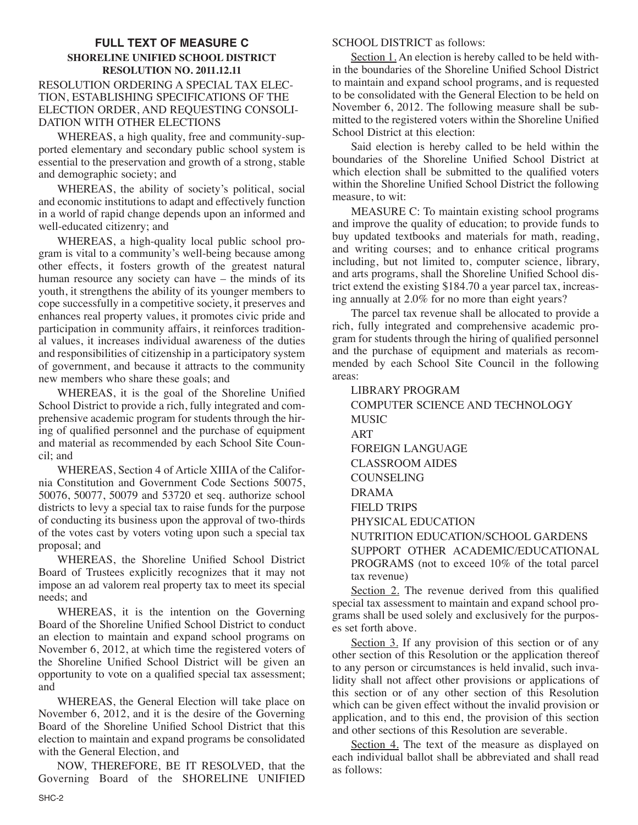## **FULL TEXT OF MEASURE C SHORELINE UNIFIED SCHOOL DISTRICT RESOLUTION NO. 2011.12.11** RESOLUTION ORDERING A SPECIAL TAX ELEC-TION, ESTABLISHING SPECIFICATIONS OF THE ELECTION ORDER, AND REQUESTING CONSOLI-DATION WITH OTHER ELECTIONS

WHEREAS, a high quality, free and community-supported elementary and secondary public school system is essential to the preservation and growth of a strong, stable and demographic society; and

WHEREAS, the ability of society's political, social and economic institutions to adapt and effectively function in a world of rapid change depends upon an informed and well-educated citizenry; and

WHEREAS, a high-quality local public school program is vital to a community's well-being because among other effects, it fosters growth of the greatest natural human resource any society can have – the minds of its youth, it strengthens the ability of its younger members to cope successfully in a competitive society, it preserves and enhances real property values, it promotes civic pride and participation in community affairs, it reinforces traditional values, it increases individual awareness of the duties and responsibilities of citizenship in a participatory system of government, and because it attracts to the community new members who share these goals; and

WHEREAS, it is the goal of the Shoreline Unified School District to provide a rich, fully integrated and comprehensive academic program for students through the hiring of qualified personnel and the purchase of equipment and material as recommended by each School Site Council; and

WHEREAS, Section 4 of Article XIIIA of the California Constitution and Government Code Sections 50075, 50076, 50077, 50079 and 53720 et seq. authorize school districts to levy a special tax to raise funds for the purpose of conducting its business upon the approval of two-thirds of the votes cast by voters voting upon such a special tax proposal; and

WHEREAS, the Shoreline Unified School District Board of Trustees explicitly recognizes that it may not impose an ad valorem real property tax to meet its special needs; and

WHEREAS, it is the intention on the Governing Board of the Shoreline Unified School District to conduct an election to maintain and expand school programs on November 6, 2012, at which time the registered voters of the Shoreline Unified School District will be given an opportunity to vote on a qualified special tax assessment; and

WHEREAS, the General Election will take place on November 6, 2012, and it is the desire of the Governing Board of the Shoreline Unified School District that this election to maintain and expand programs be consolidated with the General Election, and

NOW, THEREFORE, BE IT RESOLVED, that the Governing Board of the SHORELINE UNIFIED

#### SCHOOL DISTRICT as follows:

Section 1. An election is hereby called to be held within the boundaries of the Shoreline Unified School District to maintain and expand school programs, and is requested to be consolidated with the General Election to be held on November 6, 2012. The following measure shall be submitted to the registered voters within the Shoreline Unified School District at this election:

Said election is hereby called to be held within the boundaries of the Shoreline Unified School District at which election shall be submitted to the qualified voters within the Shoreline Unified School District the following measure, to wit:

MEASURE C: To maintain existing school programs and improve the quality of education; to provide funds to buy updated textbooks and materials for math, reading, and writing courses; and to enhance critical programs including, but not limited to, computer science, library, and arts programs, shall the Shoreline Unified School district extend the existing \$184.70 a year parcel tax, increasing annually at 2.0% for no more than eight years?

The parcel tax revenue shall be allocated to provide a rich, fully integrated and comprehensive academic program for students through the hiring of qualified personnel and the purchase of equipment and materials as recommended by each School Site Council in the following areas:

LIBRARY PROGRAM COMPUTER SCIENCE AND TECHNOLOGY MUSIC ART FOREIGN LANGUAGE CLASSROOM AIDES COUNSELING DRAMA FIELD TRIPS PHYSICAL EDUCATION NUTRITION EDUCATION/SCHOOL GARDENS SUPPORT OTHER ACADEMIC/EDUCATIONAL PROGRAMS (not to exceed 10% of the total parcel tax revenue)

Section 2. The revenue derived from this qualified special tax assessment to maintain and expand school programs shall be used solely and exclusively for the purposes set forth above.

Section 3. If any provision of this section or of any other section of this Resolution or the application thereof to any person or circumstances is held invalid, such invalidity shall not affect other provisions or applications of this section or of any other section of this Resolution which can be given effect without the invalid provision or application, and to this end, the provision of this section and other sections of this Resolution are severable.

Section 4. The text of the measure as displayed on each individual ballot shall be abbreviated and shall read as follows: